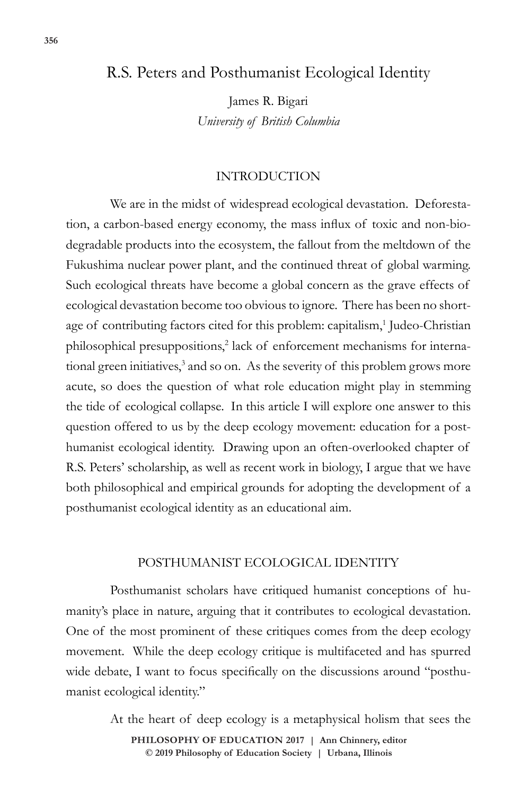# R.S. Peters and Posthumanist Ecological Identity

James R. Bigari *University of British Columbia*

#### INTRODUCTION

We are in the midst of widespread ecological devastation. Deforestation, a carbon-based energy economy, the mass influx of toxic and non-biodegradable products into the ecosystem, the fallout from the meltdown of the Fukushima nuclear power plant, and the continued threat of global warming. Such ecological threats have become a global concern as the grave effects of ecological devastation become too obvious to ignore. There has been no shortage of contributing factors cited for this problem: capitalism,<sup>1</sup> Judeo-Christian philosophical presuppositions,<sup>2</sup> lack of enforcement mechanisms for international green initiatives,<sup>3</sup> and so on. As the severity of this problem grows more acute, so does the question of what role education might play in stemming the tide of ecological collapse. In this article I will explore one answer to this question offered to us by the deep ecology movement: education for a posthumanist ecological identity. Drawing upon an often-overlooked chapter of R.S. Peters' scholarship, as well as recent work in biology, I argue that we have both philosophical and empirical grounds for adopting the development of a posthumanist ecological identity as an educational aim.

#### POSTHUMANIST ECOLOGICAL IDENTITY

Posthumanist scholars have critiqued humanist conceptions of humanity's place in nature, arguing that it contributes to ecological devastation. One of the most prominent of these critiques comes from the deep ecology movement. While the deep ecology critique is multifaceted and has spurred wide debate, I want to focus specifically on the discussions around "posthumanist ecological identity."

At the heart of deep ecology is a metaphysical holism that sees the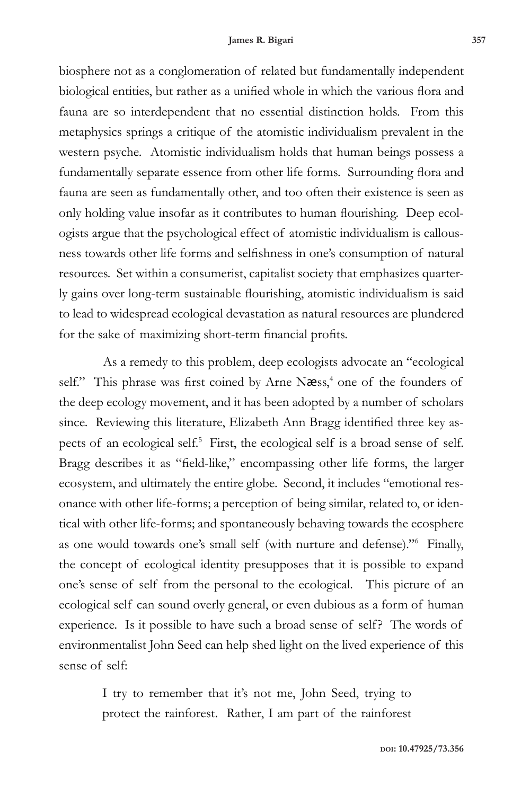biosphere not as a conglomeration of related but fundamentally independent biological entities, but rather as a unified whole in which the various flora and fauna are so interdependent that no essential distinction holds. From this metaphysics springs a critique of the atomistic individualism prevalent in the western psyche. Atomistic individualism holds that human beings possess a fundamentally separate essence from other life forms. Surrounding flora and fauna are seen as fundamentally other, and too often their existence is seen as only holding value insofar as it contributes to human flourishing. Deep ecologists argue that the psychological effect of atomistic individualism is callousness towards other life forms and selfishness in one's consumption of natural resources. Set within a consumerist, capitalist society that emphasizes quarterly gains over long-term sustainable flourishing, atomistic individualism is said to lead to widespread ecological devastation as natural resources are plundered for the sake of maximizing short-term financial profits.

As a remedy to this problem, deep ecologists advocate an "ecological self." This phrase was first coined by Arne Næss,<sup>4</sup> one of the founders of the deep ecology movement, and it has been adopted by a number of scholars since. Reviewing this literature, Elizabeth Ann Bragg identified three key aspects of an ecological self.<sup>5</sup> First, the ecological self is a broad sense of self. Bragg describes it as "field-like," encompassing other life forms, the larger ecosystem, and ultimately the entire globe. Second, it includes "emotional resonance with other life-forms; a perception of being similar, related to, or identical with other life-forms; and spontaneously behaving towards the ecosphere as one would towards one's small self (with nurture and defense)."6 Finally, the concept of ecological identity presupposes that it is possible to expand one's sense of self from the personal to the ecological. This picture of an ecological self can sound overly general, or even dubious as a form of human experience. Is it possible to have such a broad sense of self? The words of environmentalist John Seed can help shed light on the lived experience of this sense of self:

> I try to remember that it's not me, John Seed, trying to protect the rainforest. Rather, I am part of the rainforest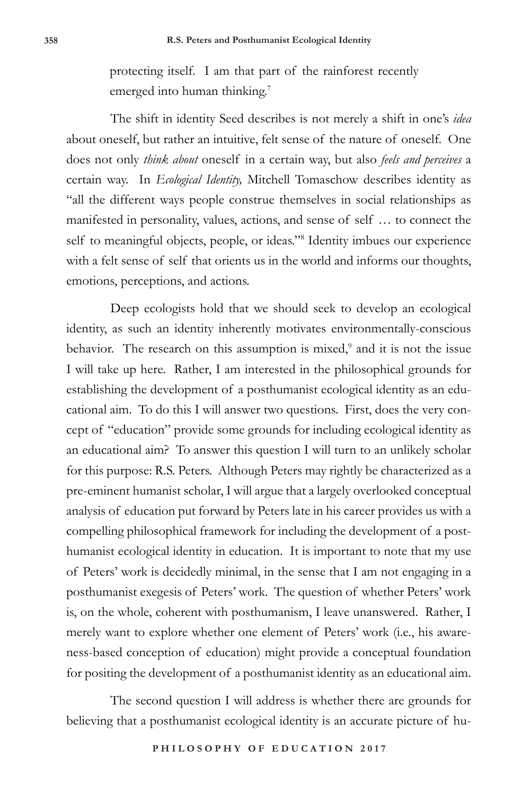protecting itself. I am that part of the rainforest recently emerged into human thinking.<sup>7</sup>

The shift in identity Seed describes is not merely a shift in one's *idea* about oneself, but rather an intuitive, felt sense of the nature of oneself. One does not only *think about* oneself in a certain way, but also *feels and perceives* a certain way. In *Ecological Identity,* Mitchell Tomaschow describes identity as "all the different ways people construe themselves in social relationships as manifested in personality, values, actions, and sense of self … to connect the self to meaningful objects, people, or ideas."<sup>8</sup> Identity imbues our experience with a felt sense of self that orients us in the world and informs our thoughts, emotions, perceptions, and actions.

Deep ecologists hold that we should seek to develop an ecological identity, as such an identity inherently motivates environmentally-conscious behavior. The research on this assumption is mixed,<sup>9</sup> and it is not the issue I will take up here. Rather, I am interested in the philosophical grounds for establishing the development of a posthumanist ecological identity as an educational aim. To do this I will answer two questions. First, does the very concept of "education" provide some grounds for including ecological identity as an educational aim? To answer this question I will turn to an unlikely scholar for this purpose: R.S. Peters. Although Peters may rightly be characterized as a pre-eminent humanist scholar, I will argue that a largely overlooked conceptual analysis of education put forward by Peters late in his career provides us with a compelling philosophical framework for including the development of a posthumanist ecological identity in education. It is important to note that my use of Peters' work is decidedly minimal, in the sense that I am not engaging in a posthumanist exegesis of Peters' work. The question of whether Peters' work is, on the whole, coherent with posthumanism, I leave unanswered. Rather, I merely want to explore whether one element of Peters' work (i.e., his awareness-based conception of education) might provide a conceptual foundation for positing the development of a posthumanist identity as an educational aim.

The second question I will address is whether there are grounds for believing that a posthumanist ecological identity is an accurate picture of hu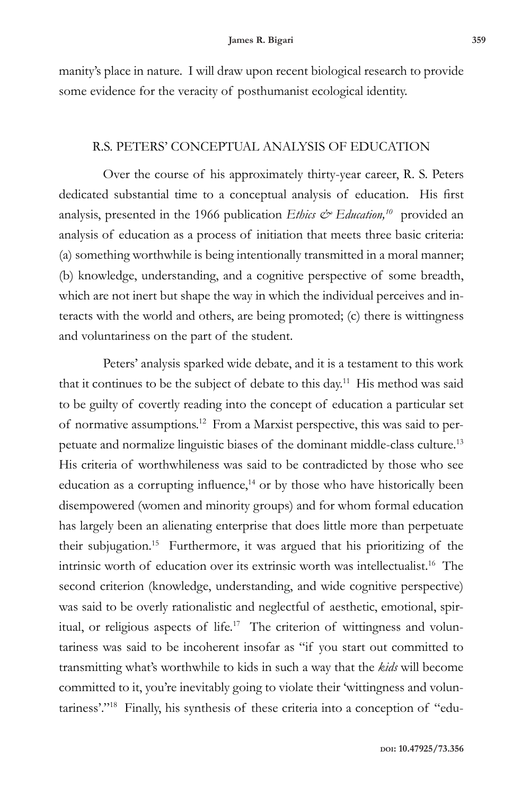manity's place in nature. I will draw upon recent biological research to provide some evidence for the veracity of posthumanist ecological identity.

#### R.S. PETERS' CONCEPTUAL ANALYSIS OF EDUCATION

Over the course of his approximately thirty-year career, R. S. Peters dedicated substantial time to a conceptual analysis of education. His first analysis, presented in the 1966 publication *Ethics & Education*,<sup>10</sup> provided an analysis of education as a process of initiation that meets three basic criteria: (a) something worthwhile is being intentionally transmitted in a moral manner; (b) knowledge, understanding, and a cognitive perspective of some breadth, which are not inert but shape the way in which the individual perceives and interacts with the world and others, are being promoted; (c) there is wittingness and voluntariness on the part of the student.

Peters' analysis sparked wide debate, and it is a testament to this work that it continues to be the subject of debate to this day.<sup>11</sup> His method was said to be guilty of covertly reading into the concept of education a particular set of normative assumptions.12 From a Marxist perspective, this was said to perpetuate and normalize linguistic biases of the dominant middle-class culture.13 His criteria of worthwhileness was said to be contradicted by those who see education as a corrupting influence, $14$  or by those who have historically been disempowered (women and minority groups) and for whom formal education has largely been an alienating enterprise that does little more than perpetuate their subjugation.15 Furthermore, it was argued that his prioritizing of the intrinsic worth of education over its extrinsic worth was intellectualist.16 The second criterion (knowledge, understanding, and wide cognitive perspective) was said to be overly rationalistic and neglectful of aesthetic, emotional, spiritual, or religious aspects of life.<sup>17</sup> The criterion of wittingness and voluntariness was said to be incoherent insofar as "if you start out committed to transmitting what's worthwhile to kids in such a way that the *kids* will become committed to it, you're inevitably going to violate their 'wittingness and voluntariness'."18 Finally, his synthesis of these criteria into a conception of "edu-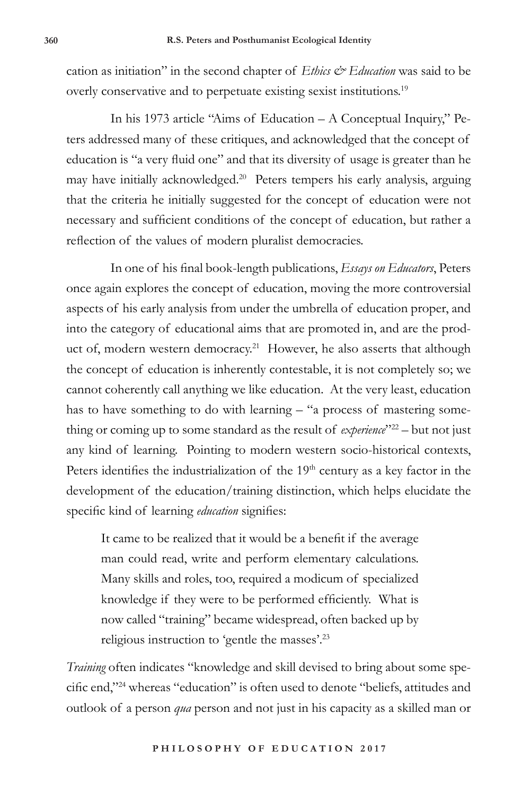cation as initiation" in the second chapter of *Ethics & Education* was said to be overly conservative and to perpetuate existing sexist institutions.<sup>19</sup>

In his 1973 article "Aims of Education – A Conceptual Inquiry," Peters addressed many of these critiques, and acknowledged that the concept of education is "a very fluid one" and that its diversity of usage is greater than he may have initially acknowledged.20 Peters tempers his early analysis, arguing that the criteria he initially suggested for the concept of education were not necessary and sufficient conditions of the concept of education, but rather a reflection of the values of modern pluralist democracies.

In one of his final book-length publications, *Essays on Educators*, Peters once again explores the concept of education, moving the more controversial aspects of his early analysis from under the umbrella of education proper, and into the category of educational aims that are promoted in, and are the product of, modern western democracy.<sup>21</sup> However, he also asserts that although the concept of education is inherently contestable, it is not completely so; we cannot coherently call anything we like education. At the very least, education has to have something to do with learning – "a process of mastering something or coming up to some standard as the result of *experience*"<sup>22</sup> – but not just any kind of learning. Pointing to modern western socio-historical contexts, Peters identifies the industrialization of the  $19<sup>th</sup>$  century as a key factor in the development of the education/training distinction, which helps elucidate the specific kind of learning *education* signifies:

It came to be realized that it would be a benefit if the average man could read, write and perform elementary calculations. Many skills and roles, too, required a modicum of specialized knowledge if they were to be performed efficiently. What is now called "training" became widespread, often backed up by religious instruction to 'gentle the masses'.23

*Training* often indicates "knowledge and skill devised to bring about some specific end,"<sup>24</sup> whereas "education" is often used to denote "beliefs, attitudes and outlook of a person *qua* person and not just in his capacity as a skilled man or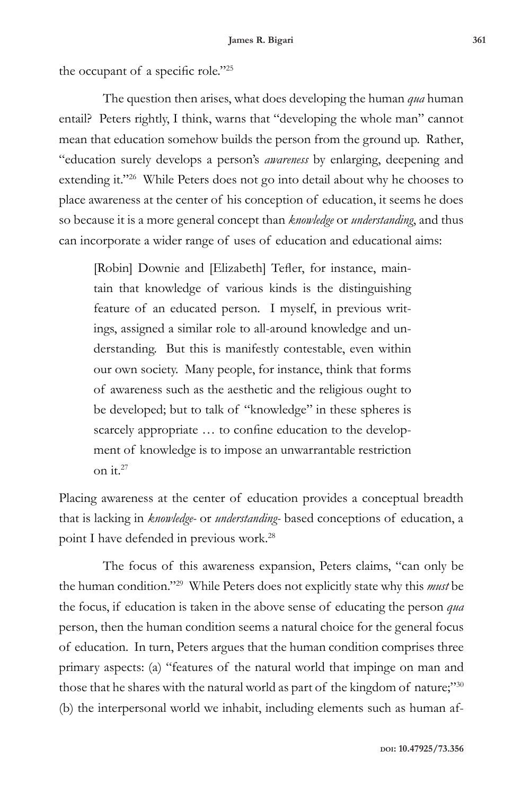the occupant of a specific role."25

The question then arises, what does developing the human *qua* human entail? Peters rightly, I think, warns that "developing the whole man" cannot mean that education somehow builds the person from the ground up. Rather, "education surely develops a person's *awareness* by enlarging, deepening and extending it."26 While Peters does not go into detail about why he chooses to place awareness at the center of his conception of education, it seems he does so because it is a more general concept than *knowledge* or *understanding*, and thus can incorporate a wider range of uses of education and educational aims:

[Robin] Downie and [Elizabeth] Tefler, for instance, maintain that knowledge of various kinds is the distinguishing feature of an educated person. I myself, in previous writings, assigned a similar role to all-around knowledge and understanding. But this is manifestly contestable, even within our own society. Many people, for instance, think that forms of awareness such as the aesthetic and the religious ought to be developed; but to talk of "knowledge" in these spheres is scarcely appropriate … to confine education to the development of knowledge is to impose an unwarrantable restriction on it.27

Placing awareness at the center of education provides a conceptual breadth that is lacking in *knowledge-* or *understanding-* based conceptions of education, a point I have defended in previous work.28

The focus of this awareness expansion, Peters claims, "can only be the human condition."29 While Peters does not explicitly state why this *must* be the focus, if education is taken in the above sense of educating the person *qua* person, then the human condition seems a natural choice for the general focus of education. In turn, Peters argues that the human condition comprises three primary aspects: (a) "features of the natural world that impinge on man and those that he shares with the natural world as part of the kingdom of nature;"30 (b) the interpersonal world we inhabit, including elements such as human af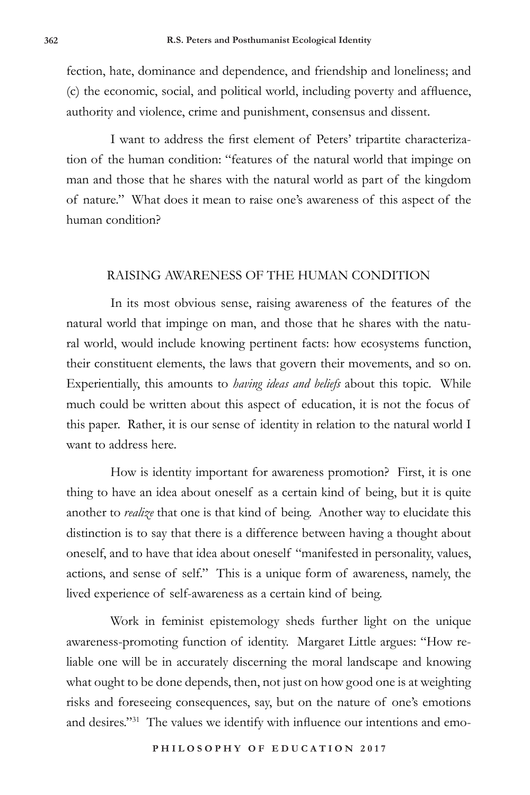fection, hate, dominance and dependence, and friendship and loneliness; and (c) the economic, social, and political world, including poverty and affluence, authority and violence, crime and punishment, consensus and dissent.

I want to address the first element of Peters' tripartite characterization of the human condition: "features of the natural world that impinge on man and those that he shares with the natural world as part of the kingdom of nature." What does it mean to raise one's awareness of this aspect of the human condition?

#### RAISING AWARENESS OF THE HUMAN CONDITION

In its most obvious sense, raising awareness of the features of the natural world that impinge on man, and those that he shares with the natural world, would include knowing pertinent facts: how ecosystems function, their constituent elements, the laws that govern their movements, and so on. Experientially, this amounts to *having ideas and beliefs* about this topic. While much could be written about this aspect of education, it is not the focus of this paper. Rather, it is our sense of identity in relation to the natural world I want to address here.

How is identity important for awareness promotion? First, it is one thing to have an idea about oneself as a certain kind of being, but it is quite another to *realize* that one is that kind of being. Another way to elucidate this distinction is to say that there is a difference between having a thought about oneself, and to have that idea about oneself "manifested in personality, values, actions, and sense of self." This is a unique form of awareness, namely, the lived experience of self-awareness as a certain kind of being.

Work in feminist epistemology sheds further light on the unique awareness-promoting function of identity. Margaret Little argues: "How reliable one will be in accurately discerning the moral landscape and knowing what ought to be done depends, then, not just on how good one is at weighting risks and foreseeing consequences, say, but on the nature of one's emotions and desires."31 The values we identify with influence our intentions and emo-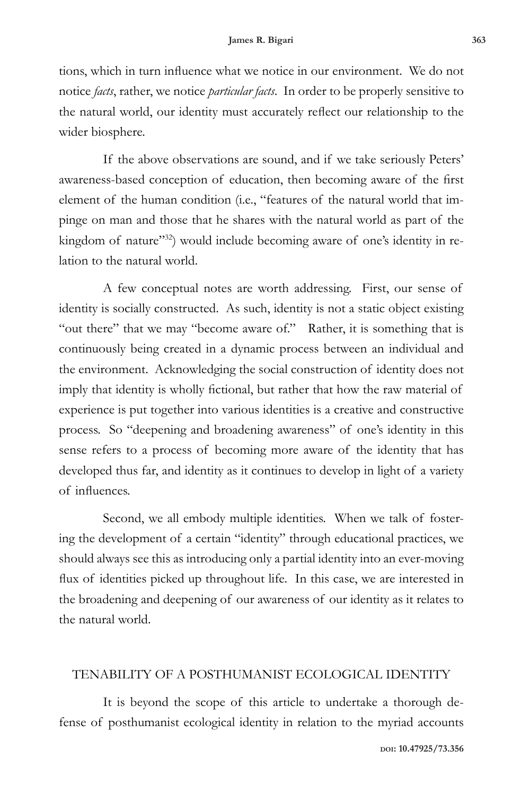tions, which in turn influence what we notice in our environment. We do not notice *facts*, rather, we notice *particular facts*. In order to be properly sensitive to the natural world, our identity must accurately reflect our relationship to the wider biosphere.

If the above observations are sound, and if we take seriously Peters' awareness-based conception of education, then becoming aware of the first element of the human condition (i.e., "features of the natural world that impinge on man and those that he shares with the natural world as part of the kingdom of nature"<sup>32</sup>) would include becoming aware of one's identity in relation to the natural world.

A few conceptual notes are worth addressing. First, our sense of identity is socially constructed. As such, identity is not a static object existing "out there" that we may "become aware of." Rather, it is something that is continuously being created in a dynamic process between an individual and the environment. Acknowledging the social construction of identity does not imply that identity is wholly fictional, but rather that how the raw material of experience is put together into various identities is a creative and constructive process. So "deepening and broadening awareness" of one's identity in this sense refers to a process of becoming more aware of the identity that has developed thus far, and identity as it continues to develop in light of a variety of influences.

Second, we all embody multiple identities. When we talk of fostering the development of a certain "identity" through educational practices, we should always see this as introducing only a partial identity into an ever-moving flux of identities picked up throughout life. In this case, we are interested in the broadening and deepening of our awareness of our identity as it relates to the natural world.

# TENABILITY OF A POSTHUMANIST ECOLOGICAL IDENTITY

It is beyond the scope of this article to undertake a thorough defense of posthumanist ecological identity in relation to the myriad accounts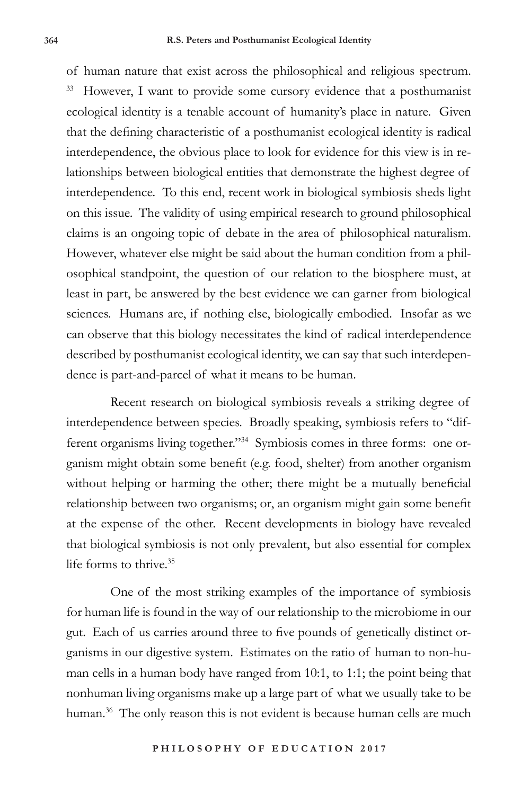of human nature that exist across the philosophical and religious spectrum. However, I want to provide some cursory evidence that a posthumanist ecological identity is a tenable account of humanity's place in nature. Given that the defining characteristic of a posthumanist ecological identity is radical interdependence, the obvious place to look for evidence for this view is in relationships between biological entities that demonstrate the highest degree of interdependence. To this end, recent work in biological symbiosis sheds light on this issue. The validity of using empirical research to ground philosophical claims is an ongoing topic of debate in the area of philosophical naturalism. However, whatever else might be said about the human condition from a philosophical standpoint, the question of our relation to the biosphere must, at least in part, be answered by the best evidence we can garner from biological sciences. Humans are, if nothing else, biologically embodied. Insofar as we can observe that this biology necessitates the kind of radical interdependence described by posthumanist ecological identity, we can say that such interdependence is part-and-parcel of what it means to be human.

Recent research on biological symbiosis reveals a striking degree of interdependence between species. Broadly speaking, symbiosis refers to "different organisms living together."<sup>34</sup> Symbiosis comes in three forms: one organism might obtain some benefit (e.g. food, shelter) from another organism without helping or harming the other; there might be a mutually beneficial relationship between two organisms; or, an organism might gain some benefit at the expense of the other. Recent developments in biology have revealed that biological symbiosis is not only prevalent, but also essential for complex life forms to thrive.35

One of the most striking examples of the importance of symbiosis for human life is found in the way of our relationship to the microbiome in our gut. Each of us carries around three to five pounds of genetically distinct organisms in our digestive system. Estimates on the ratio of human to non-human cells in a human body have ranged from 10:1, to 1:1; the point being that nonhuman living organisms make up a large part of what we usually take to be human.<sup>36</sup> The only reason this is not evident is because human cells are much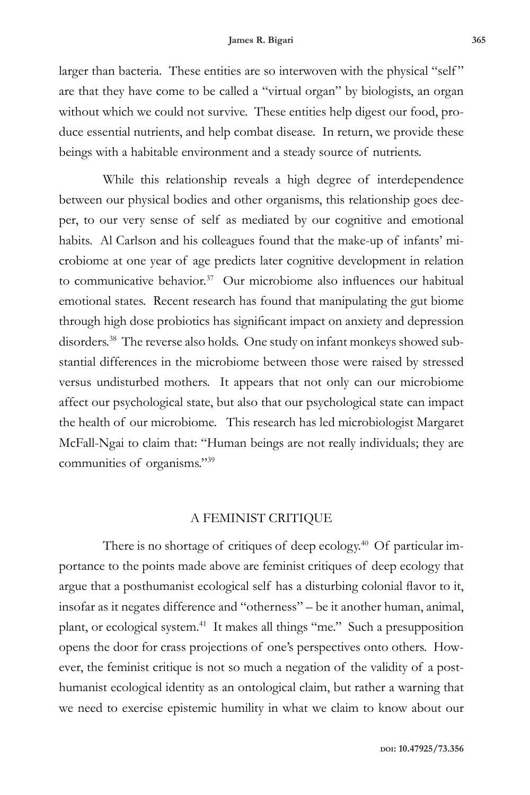larger than bacteria. These entities are so interwoven with the physical "self" are that they have come to be called a "virtual organ" by biologists, an organ without which we could not survive. These entities help digest our food, produce essential nutrients, and help combat disease. In return, we provide these beings with a habitable environment and a steady source of nutrients.

While this relationship reveals a high degree of interdependence between our physical bodies and other organisms, this relationship goes deeper, to our very sense of self as mediated by our cognitive and emotional habits. Al Carlson and his colleagues found that the make-up of infants' microbiome at one year of age predicts later cognitive development in relation to communicative behavior.<sup>37</sup> Our microbiome also influences our habitual emotional states. Recent research has found that manipulating the gut biome through high dose probiotics has significant impact on anxiety and depression disorders.<sup>38</sup> The reverse also holds. One study on infant monkeys showed substantial differences in the microbiome between those were raised by stressed versus undisturbed mothers. It appears that not only can our microbiome affect our psychological state, but also that our psychological state can impact the health of our microbiome. This research has led microbiologist Margaret McFall-Ngai to claim that: "Human beings are not really individuals; they are communities of organisms."39

## A FEMINIST CRITIQUE

There is no shortage of critiques of deep ecology.<sup>40</sup> Of particular importance to the points made above are feminist critiques of deep ecology that argue that a posthumanist ecological self has a disturbing colonial flavor to it, insofar as it negates difference and "otherness" – be it another human, animal, plant, or ecological system.41 It makes all things "me." Such a presupposition opens the door for crass projections of one's perspectives onto others. However, the feminist critique is not so much a negation of the validity of a posthumanist ecological identity as an ontological claim, but rather a warning that we need to exercise epistemic humility in what we claim to know about our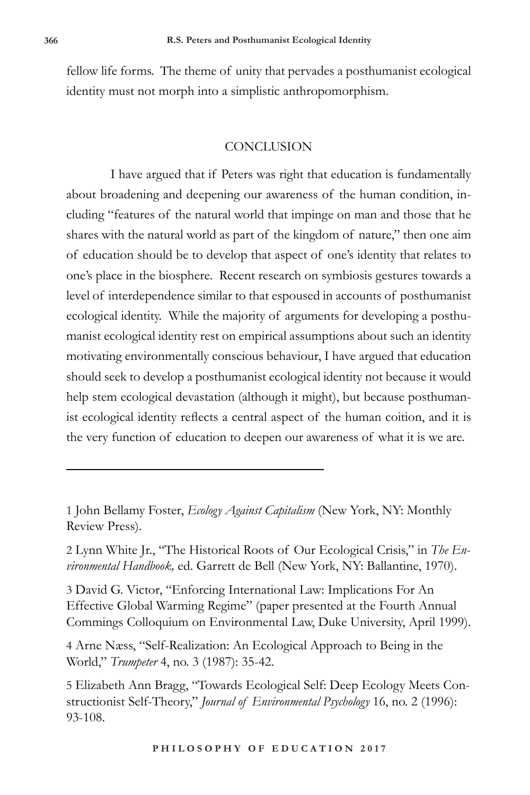fellow life forms. The theme of unity that pervades a posthumanist ecological identity must not morph into a simplistic anthropomorphism.

## **CONCLUSION**

I have argued that if Peters was right that education is fundamentally about broadening and deepening our awareness of the human condition, including "features of the natural world that impinge on man and those that he shares with the natural world as part of the kingdom of nature," then one aim of education should be to develop that aspect of one's identity that relates to one's place in the biosphere. Recent research on symbiosis gestures towards a level of interdependence similar to that espoused in accounts of posthumanist ecological identity. While the majority of arguments for developing a posthumanist ecological identity rest on empirical assumptions about such an identity motivating environmentally conscious behaviour, I have argued that education should seek to develop a posthumanist ecological identity not because it would help stem ecological devastation (although it might), but because posthumanist ecological identity reflects a central aspect of the human coition, and it is the very function of education to deepen our awareness of what it is we are.

1 John Bellamy Foster, *Ecology Against Capitalism* (New York, NY: Monthly Review Press).

2 Lynn White Jr., "The Historical Roots of Our Ecological Crisis," in *The Environmental Handbook,* ed. Garrett de Bell (New York, NY: Ballantine, 1970).

3 David G. Victor, "Enforcing International Law: Implications For An Effective Global Warming Regime" (paper presented at the Fourth Annual Commings Colloquium on Environmental Law, Duke University, April 1999).

4 Arne Næss, "Self-Realization: An Ecological Approach to Being in the World," *Trumpeter* 4, no. 3 (1987): 35-42.

5 Elizabeth Ann Bragg, "Towards Ecological Self: Deep Ecology Meets Constructionist Self-Theory," *Journal of Environmental Psychology* 16, no. 2 (1996): 93-108.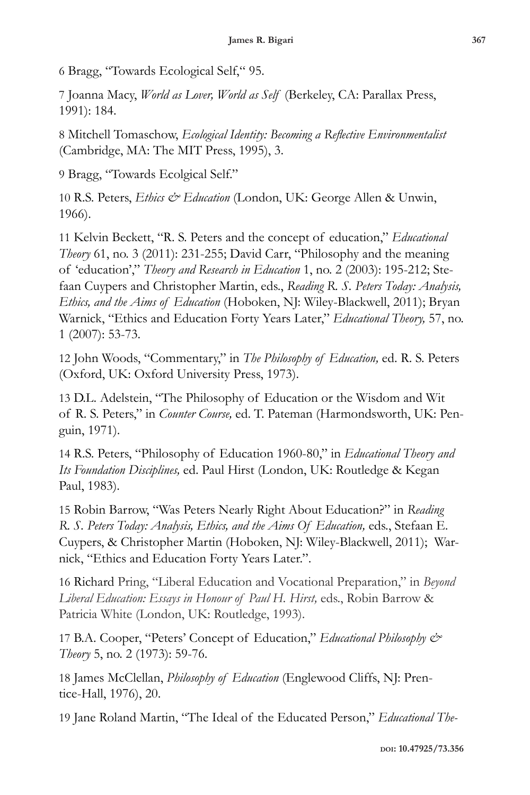6 Bragg, "Towards Ecological Self," 95.

7 Joanna Macy, *World as Lover, World as Self* (Berkeley, CA: Parallax Press, 1991): 184.

8 Mitchell Tomaschow, *Ecological Identity: Becoming a Reflective Environmentalist*  (Cambridge, MA: The MIT Press, 1995), 3.

9 Bragg, "Towards Ecolgical Self."

10 R.S. Peters, *Ethics & Education* (London, UK: George Allen & Unwin, 1966).

11 Kelvin Beckett, "R. S. Peters and the concept of education," *Educational Theory* 61, no. 3 (2011): 231-255; David Carr, "Philosophy and the meaning of 'education'," *Theory and Research in Education* 1, no. 2 (2003): 195-212; Stefaan Cuypers and Christopher Martin, eds., *Reading R. S. Peters Today: Analysis, Ethics, and the Aims of Education* (Hoboken, NJ: Wiley-Blackwell, 2011); Bryan Warnick, "Ethics and Education Forty Years Later," *Educational Theory,* 57, no. 1 (2007): 53-73.

12 John Woods, "Commentary," in *The Philosophy of Education,* ed. R. S. Peters (Oxford, UK: Oxford University Press, 1973).

13 D.L. Adelstein, "The Philosophy of Education or the Wisdom and Wit of R. S. Peters," in *Counter Course,* ed. T. Pateman (Harmondsworth, UK: Penguin, 1971).

14 R.S. Peters, "Philosophy of Education 1960-80," in *Educational Theory and Its Foundation Disciplines,* ed. Paul Hirst (London, UK: Routledge & Kegan Paul, 1983).

15 Robin Barrow, "Was Peters Nearly Right About Education?" in *Reading R. S. Peters Today: Analysis, Ethics, and the Aims Of Education,* eds., Stefaan E. Cuypers, & Christopher Martin (Hoboken, NJ: Wiley-Blackwell, 2011); Warnick, "Ethics and Education Forty Years Later.".

16 Richard Pring, "Liberal Education and Vocational Preparation," in *Beyond Liberal Education: Essays in Honour of Paul H. Hirst,* eds., Robin Barrow & Patricia White (London, UK: Routledge, 1993).

17 B.A. Cooper, "Peters' Concept of Education," *Educational Philosophy & Theory* 5, no. 2 (1973): 59-76.

18 James McClellan, *Philosophy of Education* (Englewood Cliffs, NJ: Prentice-Hall, 1976), 20.

19 Jane Roland Martin, "The Ideal of the Educated Person," *Educational The-*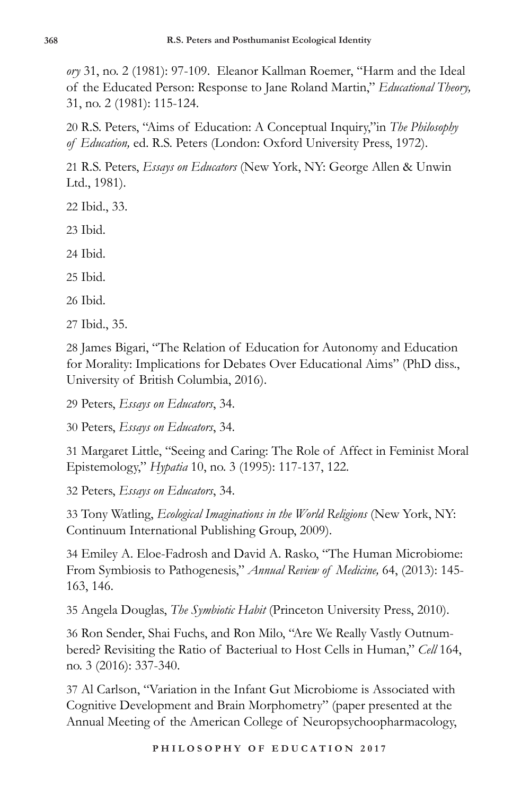*ory* 31, no. 2 (1981): 97-109. Eleanor Kallman Roemer, "Harm and the Ideal of the Educated Person: Response to Jane Roland Martin," *Educational Theory,*  31, no. 2 (1981): 115-124.

20 R.S. Peters, "Aims of Education: A Conceptual Inquiry,"in *The Philosophy of Education,* ed. R.S. Peters (London: Oxford University Press, 1972).

21 R.S. Peters, *Essays on Educators* (New York, NY: George Allen & Unwin Ltd., 1981).

- 22 Ibid., 33.
- 23 Ibid.

24 Ibid.

25 Ibid.

26 Ibid.

27 Ibid., 35.

28 James Bigari, "The Relation of Education for Autonomy and Education for Morality: Implications for Debates Over Educational Aims" (PhD diss., University of British Columbia, 2016).

29 Peters, *Essays on Educators*, 34.

30 Peters, *Essays on Educators*, 34.

31 Margaret Little, "Seeing and Caring: The Role of Affect in Feminist Moral Epistemology," *Hypatia* 10, no. 3 (1995): 117-137, 122.

32 Peters, *Essays on Educators*, 34.

33 Tony Watling, *Ecological Imaginations in the World Religions* (New York, NY: Continuum International Publishing Group, 2009).

34 Emiley A. Eloe-Fadrosh and David A. Rasko, "The Human Microbiome: From Symbiosis to Pathogenesis," *Annual Review of Medicine,* 64, (2013): 145- 163, 146.

35 Angela Douglas, *The Symbiotic Habit* (Princeton University Press, 2010).

36 Ron Sender, Shai Fuchs, and Ron Milo, "Are We Really Vastly Outnumbered? Revisiting the Ratio of Bacteriual to Host Cells in Human," *Cell* 164, no. 3 (2016): 337-340.

37 Al Carlson, "Variation in the Infant Gut Microbiome is Associated with Cognitive Development and Brain Morphometry" (paper presented at the Annual Meeting of the American College of Neuropsychoopharmacology,